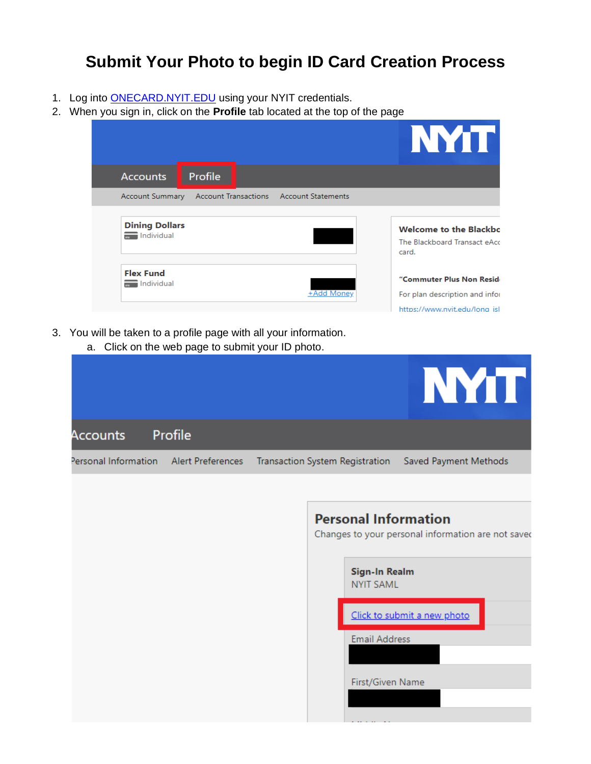## **Submit Your Photo to begin ID Card Creation Process**

- 1. Log into **ONECARD.NYIT.EDU** using your NYIT credentials.
- 2. When you sign in, click on the **Profile** tab located at the top of the page

|                                                                                    | NYT I                                                                                         |
|------------------------------------------------------------------------------------|-----------------------------------------------------------------------------------------------|
| Profile<br><b>Accounts</b>                                                         |                                                                                               |
| <b>Account Statements</b><br><b>Account Transactions</b><br><b>Account Summary</b> |                                                                                               |
| <b>Dining Dollars</b><br>Individual                                                | <b>Welcome to the Blackbo</b><br>The Blackboard Transact eAcc<br>card.                        |
| <b>Flex Fund</b><br>Individual<br>+Add Money                                       | "Commuter Plus Non Reside<br>For plan description and infor<br>https://www.nvit.edu/long_isl_ |

- 3. You will be taken to a profile page with all your information.
	- a. Click on the web page to submit your ID photo.

| <b>NYTT</b><br>Profile<br>Accounts<br>Personal Information Alert Preferences<br>Transaction System Registration<br>Saved Payment Methods<br><b>Personal Information</b><br>Changes to your personal information are not saved<br>Sign-In Realm<br><b>NYIT SAML</b><br>Click to submit a new photo<br><b>Email Address</b><br>First/Given Name | a. Onen on the web page to subtility out to prioto. |  |  |
|-----------------------------------------------------------------------------------------------------------------------------------------------------------------------------------------------------------------------------------------------------------------------------------------------------------------------------------------------|-----------------------------------------------------|--|--|
|                                                                                                                                                                                                                                                                                                                                               |                                                     |  |  |
|                                                                                                                                                                                                                                                                                                                                               |                                                     |  |  |
|                                                                                                                                                                                                                                                                                                                                               |                                                     |  |  |
|                                                                                                                                                                                                                                                                                                                                               |                                                     |  |  |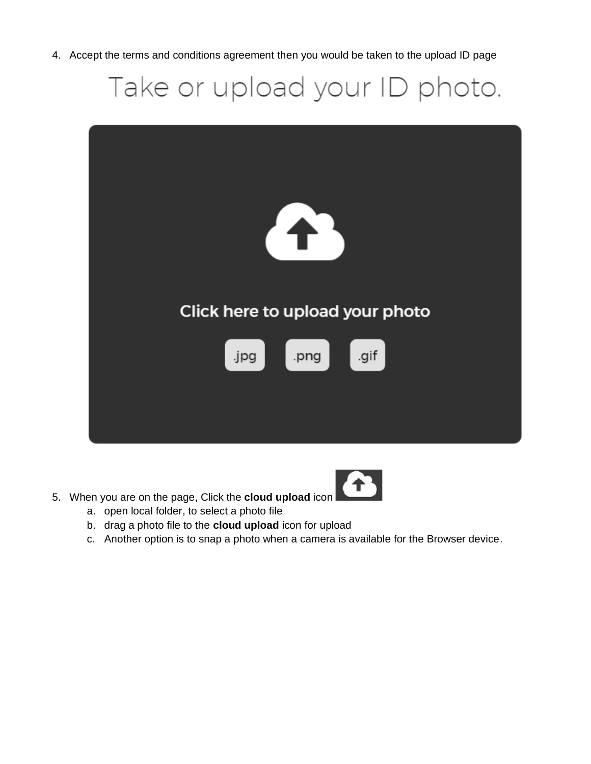4. Accept the terms and conditions agreement then you would be taken to the upload ID page

Take or upload your ID photo.



- 
- 5. When you are on the page, Click the **cloud upload** icon
	- a. open local folder, to select a photo file
	- b. drag a photo file to the **cloud upload** icon for upload
	- c. Another option is to snap a photo when a camera is available for the Browser device.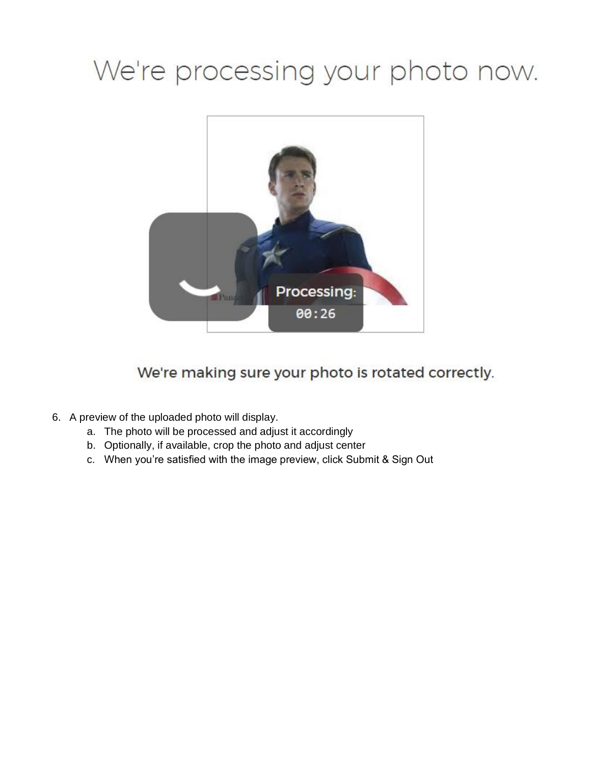# We're processing your photo now.



We're making sure your photo is rotated correctly.

- 6. A preview of the uploaded photo will display.
	- a. The photo will be processed and adjust it accordingly
	- b. Optionally, if available, crop the photo and adjust center
	- c. When you're satisfied with the image preview, click Submit & Sign Out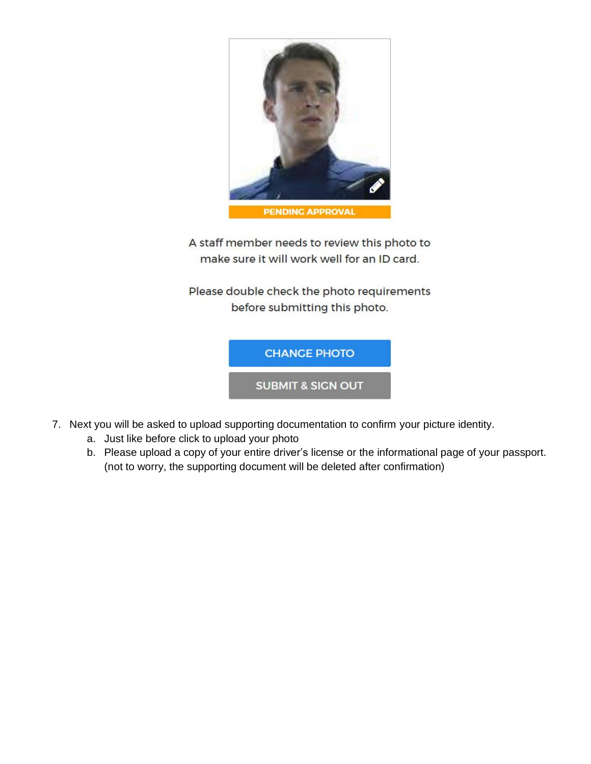

A staff member needs to review this photo to make sure it will work well for an ID card.

Please double check the photo requirements before submitting this photo.



**SUBMIT & SICN OUT** 

- 7. Next you will be asked to upload supporting documentation to confirm your picture identity.
	- a. Just like before click to upload your photo
	- b. Please upload a copy of your entire driver's license or the informational page of your passport. (not to worry, the supporting document will be deleted after confirmation)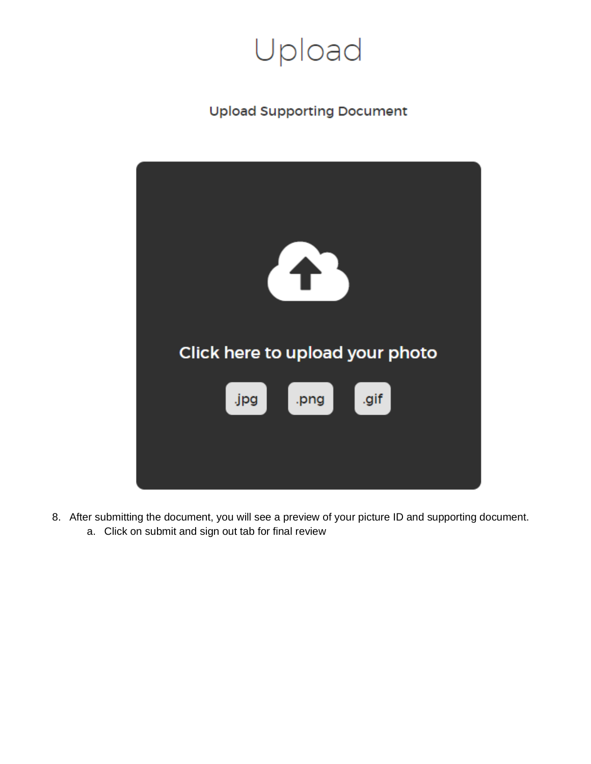

### **Upload Supporting Document**



- 8. After submitting the document, you will see a preview of your picture ID and supporting document.
	- a. Click on submit and sign out tab for final review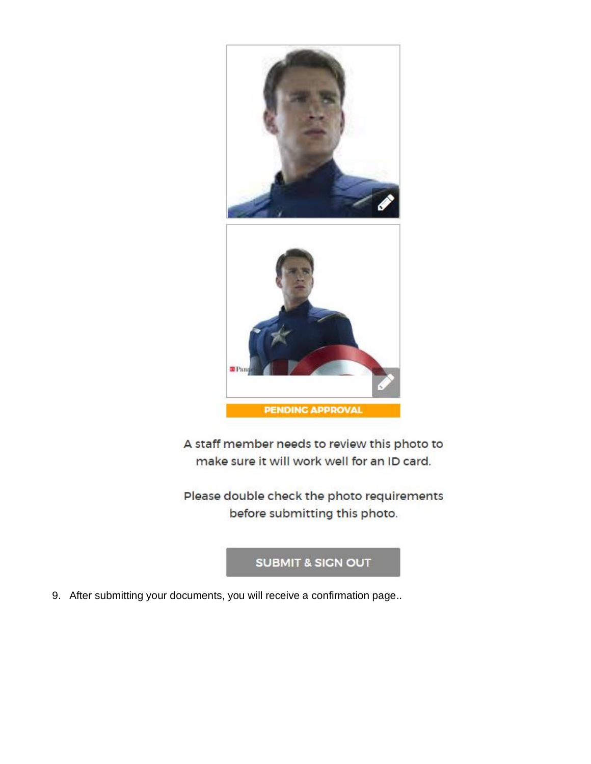

A staff member needs to review this photo to make sure it will work well for an ID card.

Please double check the photo requirements before submitting this photo.

#### **SUBMIT & SICN OUT**

9. After submitting your documents, you will receive a confirmation page..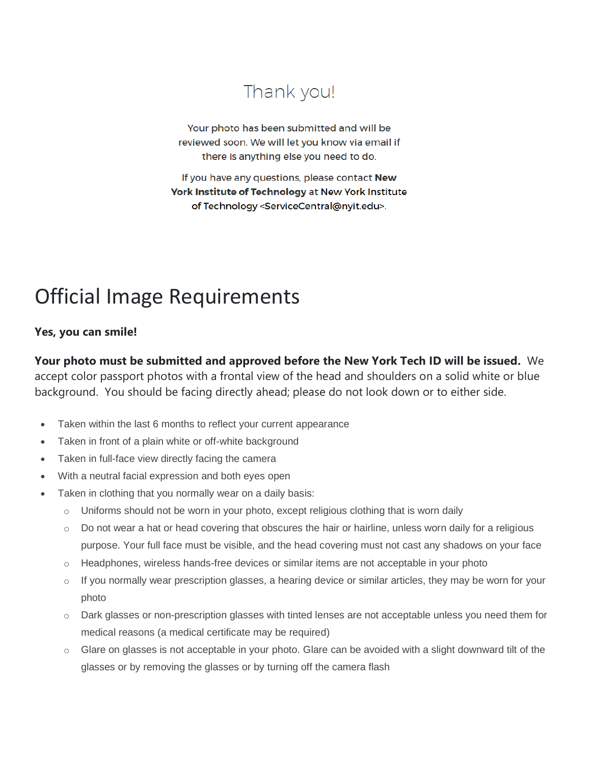# Thank you!

Your photo has been submitted and will be reviewed soon. We will let you know via email if there is anything else you need to do.

If you have any questions, please contact New York Institute of Technology at New York Institute of Technology <ServiceCentral@nyit.edu>.

# Official Image Requirements

#### **Yes, you can smile!**

**Your photo must be submitted and approved before the New York Tech ID will be issued.** We accept color passport photos with a frontal view of the head and shoulders on a solid white or blue background. You should be facing directly ahead; please do not look down or to either side.

- Taken within the last 6 months to reflect your current appearance
- Taken in front of a plain white or off-white background
- Taken in full-face view directly facing the camera
- With a neutral facial expression and both eyes open
- Taken in clothing that you normally wear on a daily basis:
	- $\circ$  Uniforms should not be worn in your photo, except religious clothing that is worn daily
	- $\circ$  Do not wear a hat or head covering that obscures the hair or hairline, unless worn daily for a religious purpose. Your full face must be visible, and the head covering must not cast any shadows on your face
	- $\circ$  Headphones, wireless hands-free devices or similar items are not acceptable in your photo
	- $\circ$  If you normally wear prescription glasses, a hearing device or similar articles, they may be worn for your photo
	- o Dark glasses or non-prescription glasses with tinted lenses are not acceptable unless you need them for medical reasons (a medical certificate may be required)
	- o Glare on glasses is not acceptable in your photo. Glare can be avoided with a slight downward tilt of the glasses or by removing the glasses or by turning off the camera flash